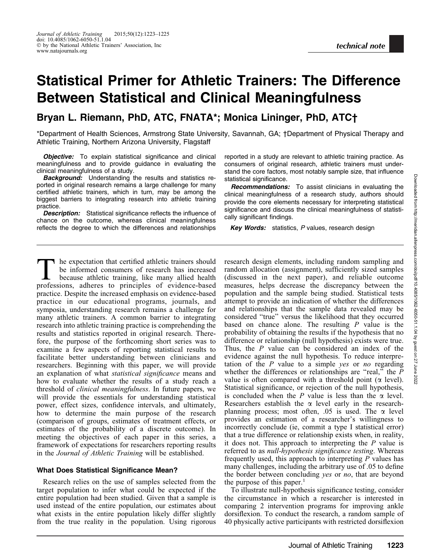# Statistical Primer for Athletic Trainers: The Difference Between Statistical and Clinical Meaningfulness

# Bryan L. Riemann, PhD, ATC, FNATA\*; Monica Lininger, PhD, ATC†

\*Department of Health Sciences, Armstrong State University, Savannah, GA; †Department of Physical Therapy and Athletic Training, Northern Arizona University, Flagstaff

**Objective:** To explain statistical significance and clinical meaningfulness and to provide guidance in evaluating the clinical meaningfulness of a study.

**Background:** Understanding the results and statistics reported in original research remains a large challenge for many certified athletic trainers, which in turn, may be among the biggest barriers to integrating research into athletic training practice.

**Description:** Statistical significance reflects the influence of chance on the outcome, whereas clinical meaningfulness reflects the degree to which the differences and relationships

reported in a study are relevant to athletic training practice. As consumers of original research, athletic trainers must understand the core factors, most notably sample size, that influence statistical significance.

Recommendations: To assist clinicians in evaluating the clinical meaningfulness of a research study, authors should provide the core elements necessary for interpreting statistical significance and discuss the clinical meaningfulness of statistically significant findings.

**Key Words:** statistics, P values, research design

**T** he expectation that certified athletic trainers should be informed consumers of research has increased because athletic training, like many allied health professions, adheres to principles of evidence-based practice. Despite the increased emphasis on evidence-based practice in our educational programs, journals, and symposia, understanding research remains a challenge for many athletic trainers. A common barrier to integrating research into athletic training practice is comprehending the results and statistics reported in original research. Therefore, the purpose of the forthcoming short series was to examine a few aspects of reporting statistical results to facilitate better understanding between clinicians and researchers. Beginning with this paper, we will provide an explanation of what statistical significance means and how to evaluate whether the results of a study reach a threshold of clinical meaningfulness. In future papers, we will provide the essentials for understanding statistical power, effect sizes, confidence intervals, and ultimately, how to determine the main purpose of the research (comparison of groups, estimates of treatment effects, or estimates of the probability of a discrete outcome). In meeting the objectives of each paper in this series, a framework of expectations for researchers reporting results in the Journal of Athletic Training will be established.

#### What Does Statistical Significance Mean?

Research relies on the use of samples selected from the target population to infer what could be expected if the entire population had been studied. Given that a sample is used instead of the entire population, our estimates about what exists in the entire population likely differ slightly from the true reality in the population. Using rigorous

research design elements, including random sampling and random allocation (assignment), sufficiently sized samples (discussed in the next paper), and reliable outcome measures, helps decrease the discrepancy between the population and the sample being studied. Statistical tests attempt to provide an indication of whether the differences and relationships that the sample data revealed may be considered ''true'' versus the likelihood that they occurred based on chance alone. The resulting  $P$  value is the probability of obtaining the results if the hypothesis that no difference or relationship (null hypothesis) exists were true. Thus, the P value can be considered an index of the evidence against the null hypothesis. To reduce interpretation of the  $P$  value to a simple yes or no regarding whether the differences or relationships are "real," the  $P$ value is often compared with a threshold point  $(\alpha \text{ level})$ . Statistical significance, or rejection of the null hypothesis, is concluded when the  $P$  value is less than the  $\alpha$  level. Researchers establish the  $\alpha$  level early in the researchplanning process; most often,  $.05$  is used. The  $\alpha$  level provides an estimation of a researcher's willingness to incorrectly conclude (ie, commit a type I statistical error) that a true difference or relationship exists when, in reality, it does not. This approach to interpreting the P value is referred to as null-hypothesis significance testing. Whereas frequently used, this approach to interpreting  $P$  values has many challenges, including the arbitrary use of .05 to define the border between concluding yes or no, that are beyond the purpose of this paper.<sup>1</sup>

To illustrate null-hypothesis significance testing, consider the circumstance in which a researcher is interested in comparing 2 intervention programs for improving ankle dorsiflexion. To conduct the research, a random sample of 40 physically active participants with restricted dorsiflexion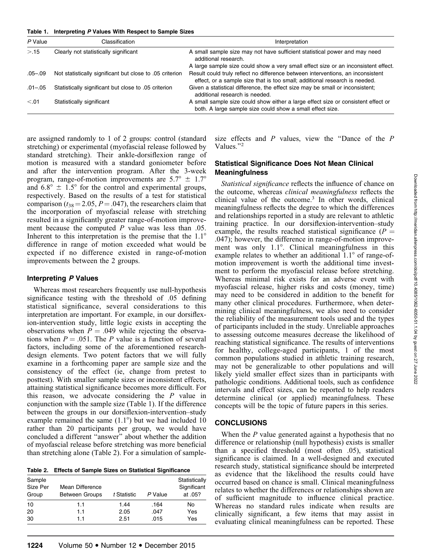Table 1. Interpreting P Values With Respect to Sample Sizes

| P Value     | Classification<br>Clearly not statistically significant  | Interpretation                                                                                                                                                |  |
|-------------|----------------------------------------------------------|---------------------------------------------------------------------------------------------------------------------------------------------------------------|--|
| > 15        |                                                          | A small sample size may not have sufficient statistical power and may need<br>additional research.                                                            |  |
|             |                                                          | A large sample size could show a very small effect size or an inconsistent effect.                                                                            |  |
| $.05 - .09$ | Not statistically significant but close to .05 criterion | Result could truly reflect no difference between interventions, an inconsistent<br>effect, or a sample size that is too small; additional research is needed. |  |
| .01–.05     | Statistically significant but close to .05 criterion     | Given a statistical difference, the effect size may be small or inconsistent;<br>additional research is needed.                                               |  |
| < 0.01      | Statistically significant                                | A small sample size could show either a large effect size or consistent effect or<br>both. A large sample size could show a small effect size.                |  |

are assigned randomly to 1 of 2 groups: control (standard stretching) or experimental (myofascial release followed by standard stretching). Their ankle-dorsiflexion range of motion is measured with a standard goniometer before and after the intervention program. After the 3-week program, range-of-motion improvements are  $5.7^{\circ} \pm 1.7^{\circ}$ and  $6.8^{\circ} \pm 1.5^{\circ}$  for the control and experimental groups, respectively. Based on the results of a test for statistical comparison ( $t_{38}$  = 2.05, P = .047), the researchers claim that the incorporation of myofascial release with stretching resulted in a significantly greater range-of-motion improvement because the computed P value was less than .05. Inherent to this interpretation is the premise that the  $1.1^\circ$ difference in range of motion exceeded what would be expected if no difference existed in range-of-motion improvements between the 2 groups.

#### Interpreting P Values

Whereas most researchers frequently use null-hypothesis significance testing with the threshold of .05 defining statistical significance, several considerations to this interpretation are important. For example, in our dorsiflexion-intervention study, little logic exists in accepting the observations when  $P = .049$  while rejecting the observations when  $P = .051$ . The P value is a function of several factors, including some of the aforementioned researchdesign elements. Two potent factors that we will fully examine in a forthcoming paper are sample size and the consistency of the effect (ie, change from pretest to posttest). With smaller sample sizes or inconsistent effects, attaining statistical significance becomes more difficult. For this reason, we advocate considering the  $P$  value in conjunction with the sample size (Table 1). If the difference between the groups in our dorsiflexion-intervention–study example remained the same  $(1.1^{\circ})$  but we had included 10 rather than 20 participants per group, we would have concluded a different ''answer'' about whether the addition of myofascial release before stretching was more beneficial than stretching alone (Table 2). For a simulation of sample-

Table 2. Effects of Sample Sizes on Statistical Significance

| Sample<br>Size Per<br>Group | Mean Difference<br><b>Between Groups</b> | t Statistic | P Value | Statistically<br>Significant<br>at .05? |
|-----------------------------|------------------------------------------|-------------|---------|-----------------------------------------|
| 10                          | 1.1                                      | 1.44        | .164    | No                                      |
| 20                          | 1.1                                      | 2.05        | .047    | Yes                                     |
| 30                          | 1.1                                      | 2.51        | .015    | Yes                                     |

size effects and  $P$  values, view the "Dance of the  $P$ Values."<sup>2</sup>

### Statistical Significance Does Not Mean Clinical Meaningfulness

Statistical significance reflects the influence of chance on the outcome, whereas *clinical meaningfulness* reflects the clinical value of the outcome.3 In other words, clinical meaningfulness reflects the degree to which the differences and relationships reported in a study are relevant to athletic training practice. In our dorsiflexion-intervention–study example, the results reached statistical significance ( $P =$ .047); however, the difference in range-of-motion improvement was only  $1.1^\circ$ . Clinical meaningfulness in this example relates to whether an additional  $1.1^{\circ}$  of range-ofmotion improvement is worth the additional time investment to perform the myofascial release before stretching. Whereas minimal risk exists for an adverse event with myofascial release, higher risks and costs (money, time) may need to be considered in addition to the benefit for many other clinical procedures. Furthermore, when determining clinical meaningfulness, we also need to consider the reliability of the measurement tools used and the types of participants included in the study. Unreliable approaches to assessing outcome measures decrease the likelihood of reaching statistical significance. The results of interventions for healthy, college-aged participants, 1 of the most common populations studied in athletic training research, may not be generalizable to other populations and will likely yield smaller effect sizes than in participants with pathologic conditions. Additional tools, such as confidence intervals and effect sizes, can be reported to help readers determine clinical (or applied) meaningfulness. These concepts will be the topic of future papers in this series.

# **CONCLUSIONS**

When the  $P$  value generated against a hypothesis that no difference or relationship (null hypothesis) exists is smaller than a specified threshold (most often .05), statistical significance is claimed. In a well-designed and executed research study, statistical significance should be interpreted as evidence that the likelihood the results could have occurred based on chance is small. Clinical meaningfulness relates to whether the differences or relationships shown are of sufficient magnitude to influence clinical practice. Whereas no standard rules indicate when results are clinically significant, a few items that may assist in evaluating clinical meaningfulness can be reported. These